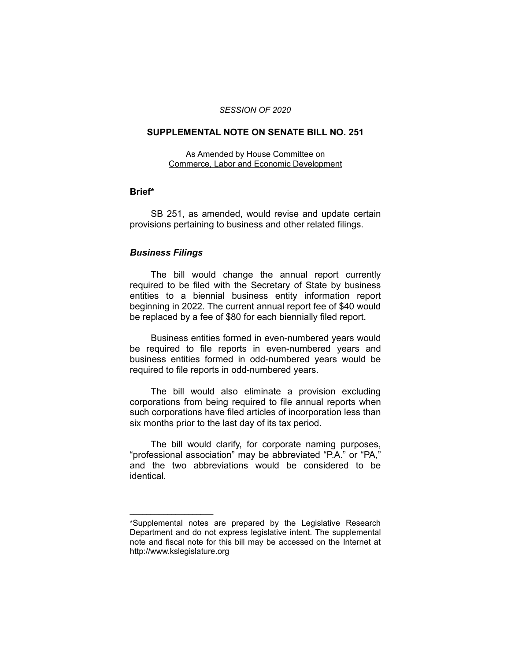#### *SESSION OF 2020*

#### **SUPPLEMENTAL NOTE ON SENATE BILL NO. 251**

As Amended by House Committee on Commerce, Labor and Economic Development

### **Brief\***

SB 251, as amended, would revise and update certain provisions pertaining to business and other related filings.

### *Business Filings*

 $\overline{\phantom{a}}$  , where  $\overline{\phantom{a}}$  , where  $\overline{\phantom{a}}$ 

The bill would change the annual report currently required to be filed with the Secretary of State by business entities to a biennial business entity information report beginning in 2022. The current annual report fee of \$40 would be replaced by a fee of \$80 for each biennially filed report.

Business entities formed in even-numbered years would be required to file reports in even-numbered years and business entities formed in odd-numbered years would be required to file reports in odd-numbered years.

The bill would also eliminate a provision excluding corporations from being required to file annual reports when such corporations have filed articles of incorporation less than six months prior to the last day of its tax period.

The bill would clarify, for corporate naming purposes, "professional association" may be abbreviated "P.A." or "PA," and the two abbreviations would be considered to be identical.

<sup>\*</sup>Supplemental notes are prepared by the Legislative Research Department and do not express legislative intent. The supplemental note and fiscal note for this bill may be accessed on the Internet at http://www.kslegislature.org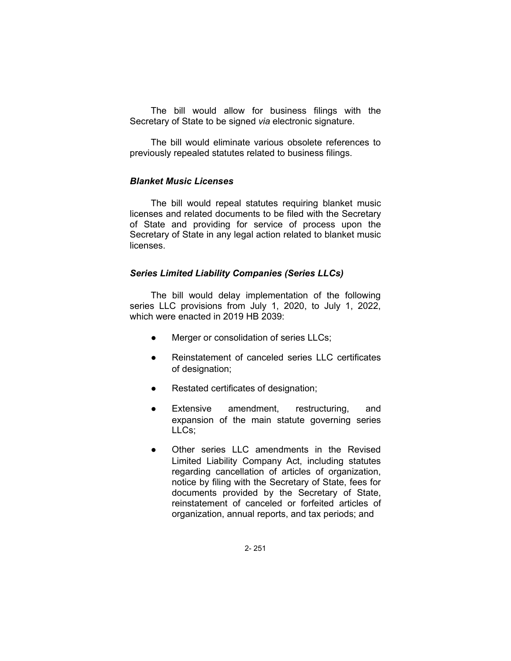The bill would allow for business filings with the Secretary of State to be signed *via* electronic signature.

The bill would eliminate various obsolete references to previously repealed statutes related to business filings.

### *Blanket Music Licenses*

The bill would repeal statutes requiring blanket music licenses and related documents to be filed with the Secretary of State and providing for service of process upon the Secretary of State in any legal action related to blanket music licenses.

### *Series Limited Liability Companies (Series LLCs)*

The bill would delay implementation of the following series LLC provisions from July 1, 2020, to July 1, 2022, which were enacted in 2019 HB 2039:

- Merger or consolidation of series LLCs;
- Reinstatement of canceled series LLC certificates of designation;
- Restated certificates of designation;
- Extensive amendment, restructuring, and expansion of the main statute governing series LLCs;
- Other series LLC amendments in the Revised Limited Liability Company Act, including statutes regarding cancellation of articles of organization, notice by filing with the Secretary of State, fees for documents provided by the Secretary of State, reinstatement of canceled or forfeited articles of organization, annual reports, and tax periods; and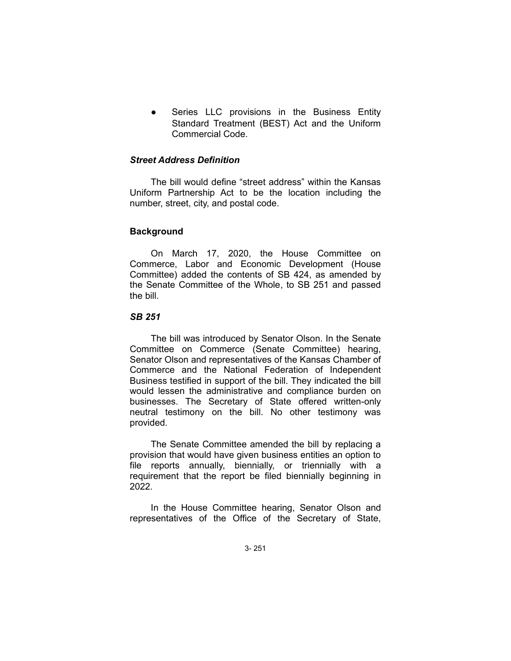Series LLC provisions in the Business Entity Standard Treatment (BEST) Act and the Uniform Commercial Code.

## *Street Address Definition*

The bill would define "street address" within the Kansas Uniform Partnership Act to be the location including the number, street, city, and postal code.

### **Background**

On March 17, 2020, the House Committee on Commerce, Labor and Economic Development (House Committee) added the contents of SB 424, as amended by the Senate Committee of the Whole, to SB 251 and passed the bill.

# *SB 251*

The bill was introduced by Senator Olson. In the Senate Committee on Commerce (Senate Committee) hearing, Senator Olson and representatives of the Kansas Chamber of Commerce and the National Federation of Independent Business testified in support of the bill. They indicated the bill would lessen the administrative and compliance burden on businesses. The Secretary of State offered written-only neutral testimony on the bill. No other testimony was provided.

The Senate Committee amended the bill by replacing a provision that would have given business entities an option to file reports annually, biennially, or triennially with a requirement that the report be filed biennially beginning in 2022.

In the House Committee hearing, Senator Olson and representatives of the Office of the Secretary of State,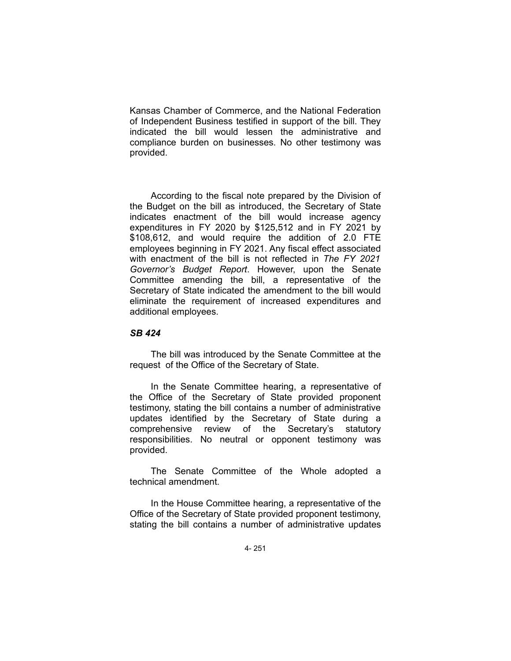Kansas Chamber of Commerce, and the National Federation of Independent Business testified in support of the bill. They indicated the bill would lessen the administrative and compliance burden on businesses. No other testimony was provided.

According to the fiscal note prepared by the Division of the Budget on the bill as introduced, the Secretary of State indicates enactment of the bill would increase agency expenditures in FY 2020 by \$125,512 and in FY 2021 by \$108,612, and would require the addition of 2.0 FTE employees beginning in FY 2021. Any fiscal effect associated with enactment of the bill is not reflected in *The FY 2021 Governor's Budget Report*. However, upon the Senate Committee amending the bill, a representative of the Secretary of State indicated the amendment to the bill would eliminate the requirement of increased expenditures and additional employees.

#### *SB 424*

The bill was introduced by the Senate Committee at the request of the Office of the Secretary of State.

In the Senate Committee hearing, a representative of the Office of the Secretary of State provided proponent testimony, stating the bill contains a number of administrative updates identified by the Secretary of State during a comprehensive review of the Secretary's statutory responsibilities. No neutral or opponent testimony was provided.

The Senate Committee of the Whole adopted a technical amendment.

In the House Committee hearing, a representative of the Office of the Secretary of State provided proponent testimony, stating the bill contains a number of administrative updates